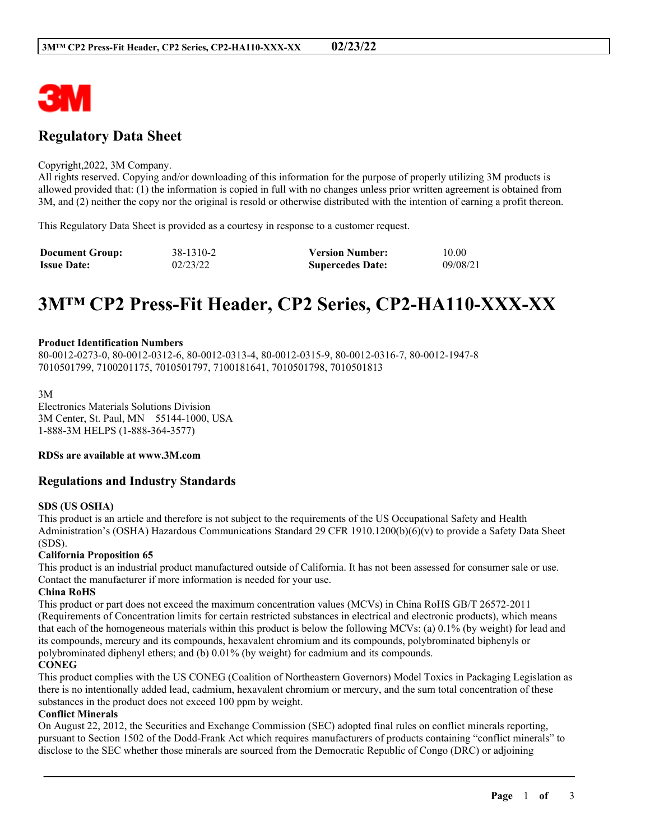

# **Regulatory Data Sheet**

#### Copyright,2022, 3M Company.

All rights reserved. Copying and/or downloading of this information for the purpose of properly utilizing 3M products is allowed provided that: (1) the information is copied in full with no changes unless prior written agreement is obtained from 3M, and (2) neither the copy nor the original is resold or otherwise distributed with the intention of earning a profit thereon.

This Regulatory Data Sheet is provided as a courtesy in response to a customer request.

| <b>Document Group:</b> | 38-1310-2 | <b>Version Number:</b>  | 10.00    |
|------------------------|-----------|-------------------------|----------|
| <b>Issue Date:</b>     | 02/23/22  | <b>Supercedes Date:</b> | 09/08/21 |

# **3M™ CP2 Press-Fit Header, CP2 Series, CP2-HA110-XXX-XX**

#### **Product Identification Numbers**

80-0012-0273-0, 80-0012-0312-6, 80-0012-0313-4, 80-0012-0315-9, 80-0012-0316-7, 80-0012-1947-8 7010501799, 7100201175, 7010501797, 7100181641, 7010501798, 7010501813

3M Electronics Materials Solutions Division 3M Center, St. Paul, MN 55144-1000, USA 1-888-3M HELPS (1-888-364-3577)

**RDSs are available at www.3M.com**

# **Regulations and Industry Standards**

#### **SDS (US OSHA)**

This product is an article and therefore is not subject to the requirements of the US Occupational Safety and Health Administration's (OSHA) Hazardous Communications Standard 29 CFR 1910.1200(b)(6)(v) to provide a Safety Data Sheet (SDS).

#### **California Proposition 65**

This product is an industrial product manufactured outside of California. It has not been assessed for consumer sale or use. Contact the manufacturer if more information is needed for your use.

#### **China RoHS**

This product or part does not exceed the maximum concentration values (MCVs) in China RoHS GB/T 26572-2011 (Requirements of Concentration limits for certain restricted substances in electrical and electronic products), which means that each of the homogeneous materials within this product is below the following MCVs: (a) 0.1% (by weight) for lead and its compounds, mercury and its compounds, hexavalent chromium and its compounds, polybrominated biphenyls or polybrominated diphenyl ethers; and (b) 0.01% (by weight) for cadmium and its compounds.

#### **CONEG**

This product complies with the US CONEG (Coalition of Northeastern Governors) Model Toxics in Packaging Legislation as there is no intentionally added lead, cadmium, hexavalent chromium or mercury, and the sum total concentration of these substances in the product does not exceed 100 ppm by weight.

#### **Conflict Minerals**

On August 22, 2012, the Securities and Exchange Commission (SEC) adopted final rules on conflict minerals reporting, pursuant to Section 1502 of the Dodd-Frank Act which requires manufacturers of products containing "conflict minerals" to disclose to the SEC whether those minerals are sourced from the Democratic Republic of Congo (DRC) or adjoining

\_\_\_\_\_\_\_\_\_\_\_\_\_\_\_\_\_\_\_\_\_\_\_\_\_\_\_\_\_\_\_\_\_\_\_\_\_\_\_\_\_\_\_\_\_\_\_\_\_\_\_\_\_\_\_\_\_\_\_\_\_\_\_\_\_\_\_\_\_\_\_\_\_\_\_\_\_\_\_\_\_\_\_\_\_\_\_\_\_\_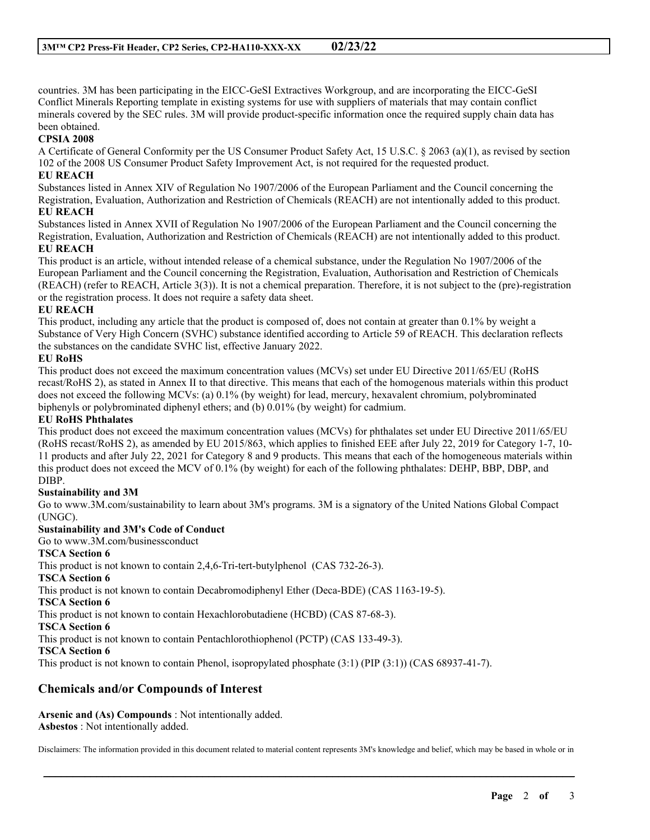countries. 3M has been participating in the EICC-GeSI Extractives Workgroup, and are incorporating the EICC-GeSI Conflict Minerals Reporting template in existing systems for use with suppliers of materials that may contain conflict minerals covered by the SEC rules. 3M will provide product-specific information once the required supply chain data has been obtained.

#### **CPSIA 2008**

A Certificate of General Conformity per the US Consumer Product Safety Act, 15 U.S.C. § 2063 (a)(1), as revised by section 102 of the 2008 US Consumer Product Safety Improvement Act, is not required for the requested product.

## **EU REACH**

Substances listed in Annex XIV of Regulation No 1907/2006 of the European Parliament and the Council concerning the Registration, Evaluation, Authorization and Restriction of Chemicals (REACH) are not intentionally added to this product. **EU REACH**

Substances listed in Annex XVII of Regulation No 1907/2006 of the European Parliament and the Council concerning the Registration, Evaluation, Authorization and Restriction of Chemicals (REACH) are not intentionally added to this product. **EU REACH**

This product is an article, without intended release of a chemical substance, under the Regulation No 1907/2006 of the European Parliament and the Council concerning the Registration, Evaluation, Authorisation and Restriction of Chemicals (REACH) (refer to REACH, Article 3(3)). It is not a chemical preparation. Therefore, it is not subject to the (pre)-registration or the registration process. It does not require a safety data sheet.

#### **EU REACH**

This product, including any article that the product is composed of, does not contain at greater than 0.1% by weight a Substance of Very High Concern (SVHC) substance identified according to Article 59 of REACH. This declaration reflects the substances on the candidate SVHC list, effective January 2022.

#### **EU RoHS**

This product does not exceed the maximum concentration values (MCVs) set under EU Directive 2011/65/EU (RoHS recast/RoHS 2), as stated in Annex II to that directive. This means that each of the homogenous materials within this product does not exceed the following MCVs: (a) 0.1% (by weight) for lead, mercury, hexavalent chromium, polybrominated biphenyls or polybrominated diphenyl ethers; and (b) 0.01% (by weight) for cadmium.

#### **EU RoHS Phthalates**

This product does not exceed the maximum concentration values (MCVs) for phthalates set under EU Directive 2011/65/EU (RoHS recast/RoHS 2), as amended by EU 2015/863, which applies to finished EEE after July 22, 2019 for Category 1-7, 10- 11 products and after July 22, 2021 for Category 8 and 9 products. This means that each of the homogeneous materials within this product does not exceed the MCV of 0.1% (by weight) for each of the following phthalates: DEHP, BBP, DBP, and DIBP.

#### **Sustainability and 3M**

Go to www.3M.com/sustainability to learn about 3M's programs. 3M is a signatory of the United Nations Global Compact (UNGC).

#### **Sustainability and 3M's Code of Conduct**

Go to www.3M.com/businessconduct

### **TSCA Section 6**

This product is not known to contain 2,4,6-Tri-tert-butylphenol (CAS 732-26-3).

#### **TSCA Section 6**

This product is not known to contain Decabromodiphenyl Ether (Deca-BDE) (CAS 1163-19-5).

#### **TSCA Section 6**

This product is not known to contain Hexachlorobutadiene (HCBD) (CAS 87-68-3).

**TSCA Section 6**

This product is not known to contain Pentachlorothiophenol (PCTP) (CAS 133-49-3).

#### **TSCA Section 6**

This product is not known to contain Phenol, isopropylated phosphate (3:1) (PIP (3:1)) (CAS 68937-41-7).

# **Chemicals and/or Compounds of Interest**

**Arsenic and (As) Compounds** : Not intentionally added. **Asbestos** : Not intentionally added.

Disclaimers: The information provided in this document related to material content represents 3M's knowledge and belief, which may be based in whole or in

\_\_\_\_\_\_\_\_\_\_\_\_\_\_\_\_\_\_\_\_\_\_\_\_\_\_\_\_\_\_\_\_\_\_\_\_\_\_\_\_\_\_\_\_\_\_\_\_\_\_\_\_\_\_\_\_\_\_\_\_\_\_\_\_\_\_\_\_\_\_\_\_\_\_\_\_\_\_\_\_\_\_\_\_\_\_\_\_\_\_